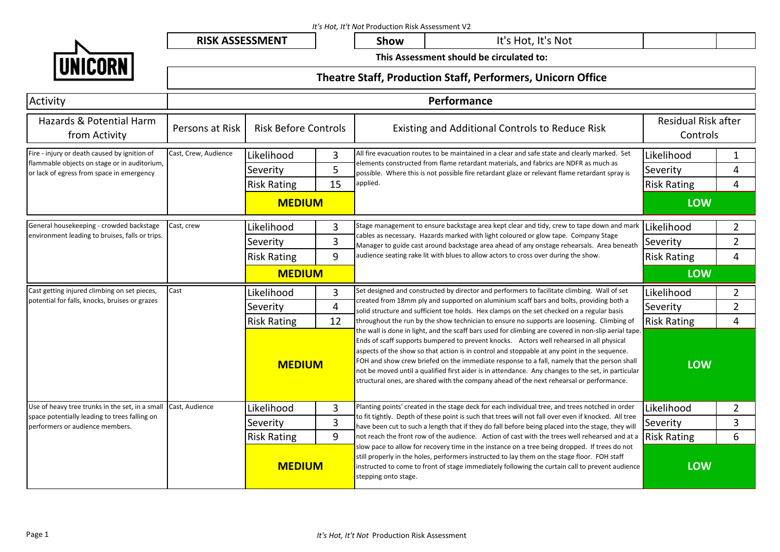| It's Hot, It't Not Production Risk Assessment V2                                            |                                                             |                             |             |                                                                                                                                                                                                                                                                                                                                                                                                                                                                                                                                                                                                   |                                                        |            |                                 |                |  |  |
|---------------------------------------------------------------------------------------------|-------------------------------------------------------------|-----------------------------|-------------|---------------------------------------------------------------------------------------------------------------------------------------------------------------------------------------------------------------------------------------------------------------------------------------------------------------------------------------------------------------------------------------------------------------------------------------------------------------------------------------------------------------------------------------------------------------------------------------------------|--------------------------------------------------------|------------|---------------------------------|----------------|--|--|
|                                                                                             | <b>RISK ASSESSMENT</b>                                      |                             | <b>Show</b> | It's Hot, It's Not                                                                                                                                                                                                                                                                                                                                                                                                                                                                                                                                                                                |                                                        |            |                                 |                |  |  |
| <b>UNICORN</b>                                                                              | This Assessment should be circulated to:                    |                             |             |                                                                                                                                                                                                                                                                                                                                                                                                                                                                                                                                                                                                   |                                                        |            |                                 |                |  |  |
|                                                                                             | Theatre Staff, Production Staff, Performers, Unicorn Office |                             |             |                                                                                                                                                                                                                                                                                                                                                                                                                                                                                                                                                                                                   |                                                        |            |                                 |                |  |  |
| Activity                                                                                    | Performance                                                 |                             |             |                                                                                                                                                                                                                                                                                                                                                                                                                                                                                                                                                                                                   |                                                        |            |                                 |                |  |  |
| Hazards & Potential Harm<br>from Activity                                                   | Persons at Risk                                             | <b>Risk Before Controls</b> |             |                                                                                                                                                                                                                                                                                                                                                                                                                                                                                                                                                                                                   | <b>Existing and Additional Controls to Reduce Risk</b> |            | Residual Risk after<br>Controls |                |  |  |
| Fire - injury or death caused by ignition of                                                | Cast, Crew, Audience                                        | Likelihood                  | 3           | All fire evacuation routes to be maintained in a clear and safe state and clearly marked. Set<br>elements constructed from flame retardant materials, and fabrics are NDFR as much as<br>possible. Where this is not possible fire retardant glaze or relevant flame retardant spray is<br>applied.                                                                                                                                                                                                                                                                                               |                                                        |            | Likelihood                      | $\mathbf{1}$   |  |  |
| flammable objects on stage or in auditorium,<br>or lack of egress from space in emergency   |                                                             | Severity                    | 5           |                                                                                                                                                                                                                                                                                                                                                                                                                                                                                                                                                                                                   |                                                        |            | Severity                        | 4              |  |  |
|                                                                                             |                                                             | <b>Risk Rating</b>          | 15          |                                                                                                                                                                                                                                                                                                                                                                                                                                                                                                                                                                                                   |                                                        |            | <b>Risk Rating</b>              | 4              |  |  |
|                                                                                             |                                                             | <b>MEDIUM</b>               |             |                                                                                                                                                                                                                                                                                                                                                                                                                                                                                                                                                                                                   |                                                        |            | <b>LOW</b>                      |                |  |  |
| General housekeeping - crowded backstage<br>environment leading to bruises, falls or trips. | Cast, crew                                                  | Likelihood                  | 3           | Stage management to ensure backstage area kept clear and tidy, crew to tape down and mark<br>cables as necessary. Hazards marked with light coloured or glow tape. Company Stage<br>Manager to guide cast around backstage area ahead of any onstage rehearsals. Area beneath<br>audience seating rake lit with blues to allow actors to cross over during the show.                                                                                                                                                                                                                              |                                                        |            | Likelihood                      | $\overline{2}$ |  |  |
|                                                                                             |                                                             | Severity                    | 3           |                                                                                                                                                                                                                                                                                                                                                                                                                                                                                                                                                                                                   |                                                        |            | Severity                        | $\overline{2}$ |  |  |
|                                                                                             |                                                             | <b>Risk Rating</b>          | 9           |                                                                                                                                                                                                                                                                                                                                                                                                                                                                                                                                                                                                   |                                                        |            | <b>Risk Rating</b>              | 4              |  |  |
|                                                                                             |                                                             | <b>MEDIUM</b>               |             |                                                                                                                                                                                                                                                                                                                                                                                                                                                                                                                                                                                                   | <b>LOW</b>                                             |            |                                 |                |  |  |
| Cast getting injured climbing on set pieces,                                                | Cast                                                        | Likelihood                  | 3           | Set designed and constructed by director and performers to facilitate climbing. Wall of set                                                                                                                                                                                                                                                                                                                                                                                                                                                                                                       |                                                        | Likelihood | $\overline{2}$                  |                |  |  |
| potential for falls, knocks, bruises or grazes                                              |                                                             | Severity                    | 4           | created from 18mm ply and supported on aluminium scaff bars and bolts, providing both a<br>solid structure and sufficient toe holds. Hex clamps on the set checked on a regular basis<br>throughout the run by the show technician to ensure no supports are loosening. Climbing of                                                                                                                                                                                                                                                                                                               |                                                        |            | Severity                        | $\overline{2}$ |  |  |
|                                                                                             |                                                             | <b>Risk Rating</b>          | 12          |                                                                                                                                                                                                                                                                                                                                                                                                                                                                                                                                                                                                   |                                                        |            | <b>Risk Rating</b>              | $\overline{4}$ |  |  |
|                                                                                             |                                                             | <b>MEDIUM</b>               |             | the wall is done in light, and the scaff bars used for climbing are covered in non-slip aerial tape.<br>Ends of scaff supports bumpered to prevent knocks. Actors well rehearsed in all physical<br>aspects of the show so that action is in control and stoppable at any point in the sequence.<br>FOH and show crew briefed on the immediate response to a fall, namely that the person shall<br>not be moved until a qualified first aider is in attendance. Any changes to the set, in particular<br>structural ones, are shared with the company ahead of the next rehearsal or performance. |                                                        | <b>LOW</b> |                                 |                |  |  |
| Use of heavy tree trunks in the set, in a small                                             | Cast, Audience                                              | Likelihood                  | 3           | Planting points' created in the stage deck for each individual tree, and trees notched in order<br>to fit tightly. Depth of these point is such that trees will not fall over even if knocked. All tree<br>have been cut to such a length that if they do fall before being placed into the stage, they will<br>not reach the front row of the audience. Action of cast with the trees well rehearsed and at a                                                                                                                                                                                    |                                                        |            | Likelihood                      | $\overline{2}$ |  |  |
| space potentially leading to trees falling on<br>performers or audience members.            |                                                             | Severity                    | 3           |                                                                                                                                                                                                                                                                                                                                                                                                                                                                                                                                                                                                   |                                                        |            | Severity                        | 3              |  |  |
|                                                                                             |                                                             | <b>Risk Rating</b>          | 9           |                                                                                                                                                                                                                                                                                                                                                                                                                                                                                                                                                                                                   |                                                        |            | <b>Risk Rating</b>              | 6              |  |  |
|                                                                                             |                                                             | <b>MEDIUM</b>               |             | slow pace to allow for recovery time in the instance on a tree being dropped. If trees do not<br>still properly in the holes, performers instructed to lay them on the stage floor. FOH staff<br>instructed to come to front of stage immediately following the curtain call to prevent audience<br>stepping onto stage.                                                                                                                                                                                                                                                                          |                                                        | <b>LOW</b> |                                 |                |  |  |